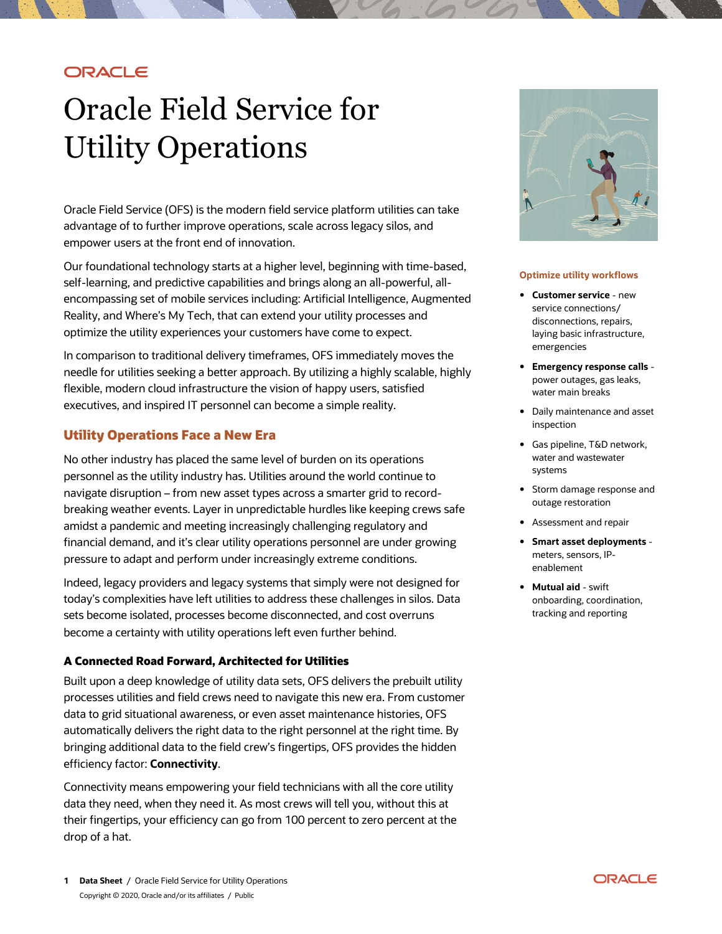## **ORACLE**

# Oracle Field Service for Utility Operations

 Oracle Field Service (OFS) is the modern field service platform utilities can take advantage of to further improve operations, scale across legacy silos, and empower users at the front end of innovation.

 Our foundational technology starts at a higher level, beginning with time-based, encompassing set of mobile services including: Artificial Intelligence, Augmented Reality, and Where's My Tech, that can extend your utility processes and optimize the utility experiences your customers have come to expect. self-learning, and predictive capabilities and brings along an all-powerful, all-

 needle for utilities seeking a better approach. By utilizing a highly scalable, highly flexible, modern cloud infrastructure the vision of happy users, satisfied executives, and inspired IT personnel can become a simple reality. In comparison to traditional delivery timeframes, OFS immediately moves the

## **Utility Operations Face a New Era**

 No other industry has placed the same level of burden on its operations personnel as the utility industry has. Utilities around the world continue to navigate disruption – from new asset types across a smarter grid to record- breaking weather events. Layer in unpredictable hurdles like keeping crews safe amidst a pandemic and meeting increasingly challenging regulatory and financial demand, and it's clear utility operations personnel are under growing pressure to adapt and perform under increasingly extreme conditions.

 Indeed, legacy providers and legacy systems that simply were not designed for today's complexities have left utilities to address these challenges in silos. Data sets become isolated, processes become disconnected, and cost overruns become a certainty with utility operations left even further behind.

#### **A Connected Road Forward, Architected for Utilities**

 Built upon a deep knowledge of utility data sets, OFS delivers the prebuilt utility processes utilities and field crews need to navigate this new era. From customer data to grid situational awareness, or even asset maintenance histories, OFS automatically delivers the right data to the right personnel at the right time. By bringing additional data to the field crew's fingertips, OFS provides the hidden efficiency factor: **Connectivity**.

 Connectivity means empowering your field technicians with all the core utility data they need, when they need it. As most crews will tell you, without this at their fingertips, your efficiency can go from 100 percent to zero percent at the drop of a hat.



#### **Optimize utility workflows**

- disconnections, repairs, • **Customer service** - new service connections/ laying basic infrastructure, emergencies
- power outages, gas leaks, water main breaks • **Emergency response calls** -
- • Daily maintenance and asset inspection
- • Gas pipeline, T&D network, water and wastewater systems
- Storm damage response and outage restoration
- Assessment and repair
- **Smart asset deployments**  meters, sensors, IPenablement
- tracking and reporting • **Mutual aid** - swift onboarding, coordination,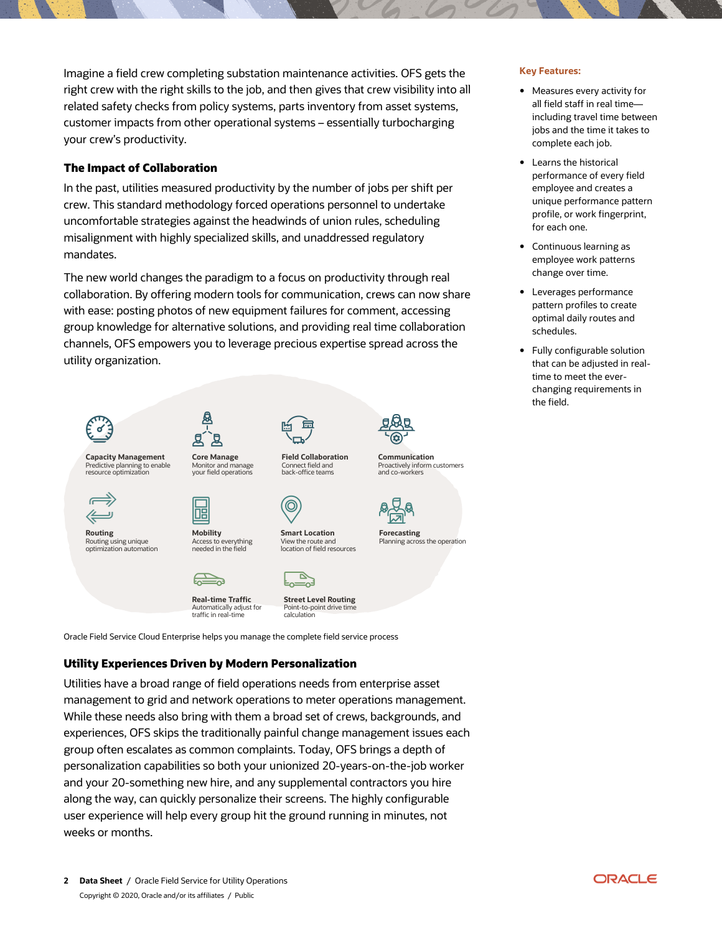right crew with the right skills to the job, and then gives that crew visibility into all related safety checks from policy systems, parts inventory from asset systems, customer impacts from other operational systems – essentially turbocharging your crew's productivity. Imagine a field crew completing substation maintenance activities. OFS gets the **Key Features:** 

## **The Impact of Collaboration**

 crew. This standard methodology forced operations personnel to undertake uncomfortable strategies against the headwinds of union rules, scheduling misalignment with highly specialized skills, and unaddressed regulatory In the past, utilities measured productivity by the number of jobs per shift per mandates.

 The new world changes the paradigm to a focus on productivity through real collaboration. By offering modern tools for communication, crews can now share with ease: posting photos of new equipment failures for comment, accessing group knowledge for alternative solutions, and providing real time collaboration channels, OFS empowers you to leverage precious expertise spread across the utility organization.



 Utilities have a broad range of field operations needs from enterprise asset management to grid and network operations to meter operations management. While these needs also bring with them a broad set of crews, backgrounds, and experiences, OFS skips the traditionally painful change management issues each group often escalates as common complaints. Today, OFS brings a depth of personalization capabilities so both your unionized 20-years-on-the-job worker and your 20-something new hire, and any supplemental contractors you hire along the way, can quickly personalize their screens. The highly configurable user experience will help every group hit the ground running in minutes, not weeks or months.

- • Measures every activity for all field staff in real time— complete each job. including travel time between jobs and the time it takes to
- performance of every field employee and creates a profile, or work fingerprint, • Learns the historical unique performance pattern for each one.
- • Continuous learning as change over time. employee work patterns
- pattern profiles to create optimal daily routes and • Leverages performance schedules.
- that can be adjusted in real- time to meet the ever- changing requirements in • Fully configurable solution the field.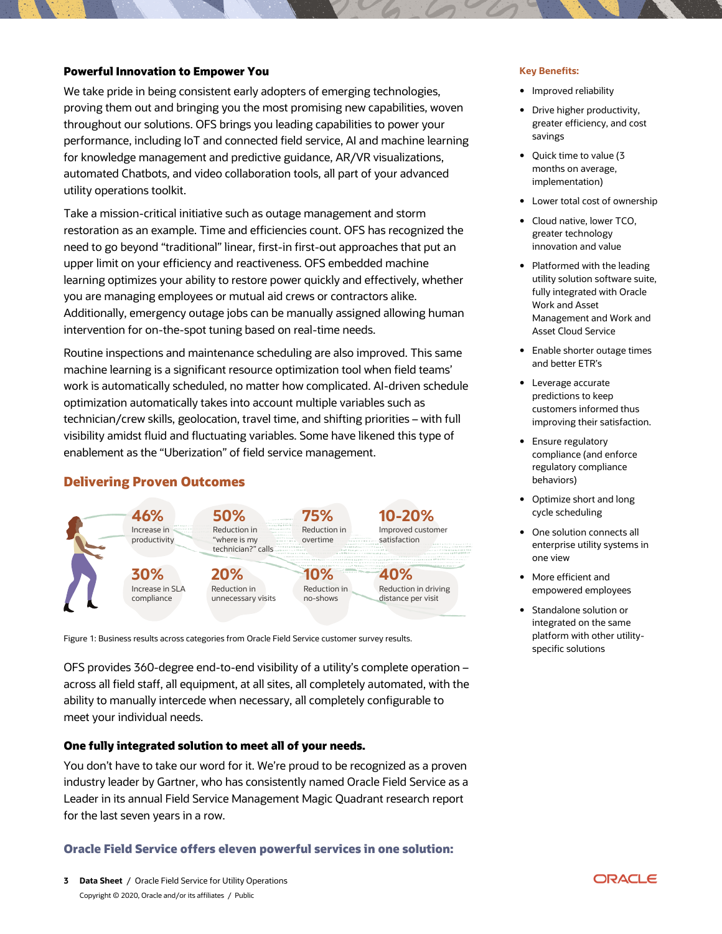#### **Powerful Innovation to Empower You**  *Key Benefits:* **<b>Key Benefits: Key Benefits:**

 We take pride in being consistent early adopters of emerging technologies, proving them out and bringing you the most promising new capabilities, woven throughout our solutions. OFS brings you leading capabilities to power your performance, including IoT and connected field service, AI and machine learning for knowledge management and predictive guidance, AR/VR visualizations, automated Chatbots, and video collaboration tools, all part of your advanced utility operations toolkit.

 Take a mission-critical initiative such as outage management and storm restoration as an example. Time and efficiencies count. OFS has recognized the upper limit on your efficiency and reactiveness. OFS embedded machine you are managing employees or mutual aid crews or contractors alike. Additionally, emergency outage jobs can be manually assigned allowing human intervention for on-the-spot tuning based on real-time needs. need to go beyond "traditional" linear, first-in first-out approaches that put an learning optimizes your ability to restore power quickly and effectively, whether

 machine learning is a significant resource optimization tool when field teams' work is automatically scheduled, no matter how complicated. AI-driven schedule optimization automatically takes into account multiple variables such as technician/crew skills, geolocation, travel time, and shifting priorities – with full visibility amidst fluid and fluctuating variables. Some have likened this type of enablement as the "Uberization" of field service management. Routine inspections and maintenance scheduling are also improved. This same

## **Delivering Proven Outcomes**



Figure 1: Business results across categories from Oracle Field Service customer survey results.

 OFS provides 360-degree end-to-end visibility of a utility's complete operation – across all field staff, all equipment, at all sites, all completely automated, with the ability to manually intercede when necessary, all completely configurable to meet your individual needs.

#### **One fully integrated solution to meet all of your needs.**

 You don't have to take our word for it. We're proud to be recognized as a proven industry leader by Gartner, who has consistently named Oracle Field Service as a Leader in its annual Field Service Management Magic Quadrant research report for the last seven years in a row.

#### **Oracle Field Service offers eleven powerful services in one solution:**

- Improved reliability
- • Drive higher productivity, greater efficiency, and cost savings
- • Quick time to value (3 months on average, implementation)
- Lower total cost of ownership
- • Cloud native, lower TCO, greater technology innovation and value
- utility solution software suite, fully integrated with Oracle Work and Asset Management and Work and Asset Cloud Service • Platformed with the leading
- • Enable shorter outage times and better ETR's
- Leverage accurate predictions to keep customers informed thus improving their satisfaction.
- • Ensure regulatory compliance (and enforce regulatory compliance behaviors)
- • Optimize short and long cycle scheduling
- • One solution connects all enterprise utility systems in one view
- • More efficient and empowered employees
- platform with other utility-• Standalone solution or integrated on the same specific solutions